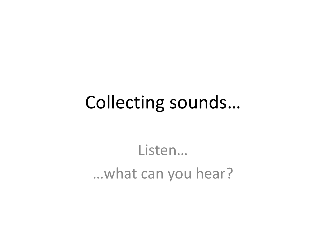## Collecting sounds…

Listen… …what can you hear?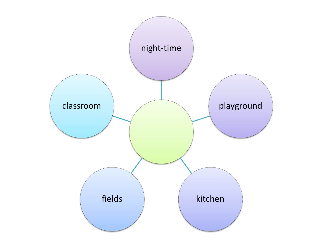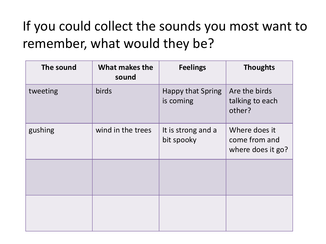### If you could collect the sounds you most want to remember, what would they be?

| The sound | What makes the<br>sound | <b>Feelings</b>                       | <b>Thoughts</b>                                     |
|-----------|-------------------------|---------------------------------------|-----------------------------------------------------|
| tweeting  | <b>birds</b>            | <b>Happy that Spring</b><br>is coming | Are the birds<br>talking to each<br>other?          |
| gushing   | wind in the trees       | It is strong and a<br>bit spooky      | Where does it<br>come from and<br>where does it go? |
|           |                         |                                       |                                                     |
|           |                         |                                       |                                                     |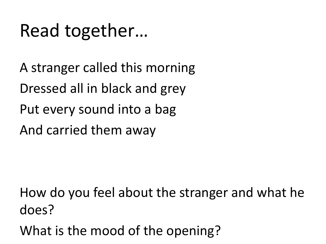# Read together…

A stranger called this morning Dressed all in black and grey Put every sound into a bag And carried them away

How do you feel about the stranger and what he does?

What is the mood of the opening?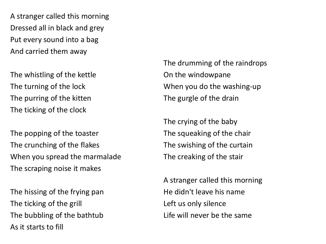A stranger called this morning Dressed all in black and grey Put every sound into a bag And carried them away

The whistling of the kettle The turning of the lock The purring of the kitten The ticking of the clock

The popping of the toaster The crunching of the flakes When you spread the marmalade The scraping noise it makes

The hissing of the frying pan The ticking of the grill The bubbling of the bathtub As it starts to fill

The drumming of the raindrops On the windowpane When you do the washing-up The gurgle of the drain

The crying of the baby The squeaking of the chair The swishing of the curtain The creaking of the stair

A stranger called this morning He didn't leave his name Left us only silence Life will never be the same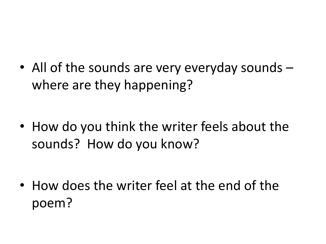• All of the sounds are very everyday sounds – where are they happening?

• How do you think the writer feels about the sounds? How do you know?

• How does the writer feel at the end of the poem?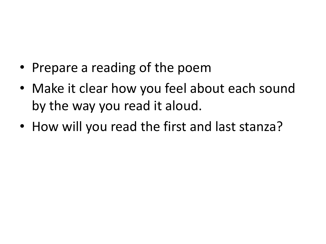- Prepare a reading of the poem
- Make it clear how you feel about each sound by the way you read it aloud.
- How will you read the first and last stanza?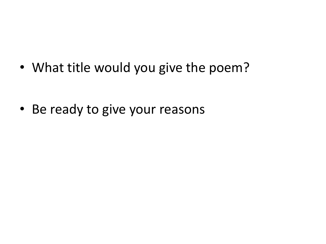• What title would you give the poem?

• Be ready to give your reasons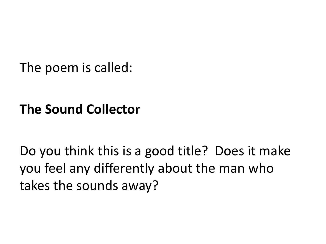The poem is called:

#### **The Sound Collector**

Do you think this is a good title? Does it make you feel any differently about the man who takes the sounds away?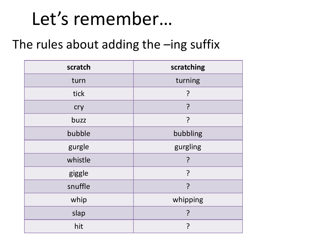# Let's remember…

#### The rules about adding the –ing suffix

| scratch | scratching |  |
|---------|------------|--|
| turn    | turning    |  |
| tick    | ?          |  |
| cry     | ?          |  |
| buzz    | ?          |  |
| bubble  | bubbling   |  |
| gurgle  | gurgling   |  |
| whistle |            |  |
| giggle  | ?          |  |
| snuffle | ?          |  |
| whip    | whipping   |  |
| slap    | ?          |  |
| hit     | ?          |  |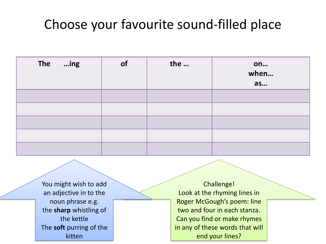#### Choose your favourite sound-filled place

| The ing | of | the | on<br>when<br>as |
|---------|----|-----|------------------|
|         |    |     |                  |
|         |    |     |                  |
|         |    |     |                  |
|         |    |     |                  |
|         |    |     |                  |

You might wish to add an adjective in to the noun phrase e.g. the **sharp** whistling of the kettle The **soft** purring of the kitten

Challenge! Look at the rhyming lines in Roger McGough's poem: line two and four in each stanza. Can you find or make rhymes in any of these words that will end your lines?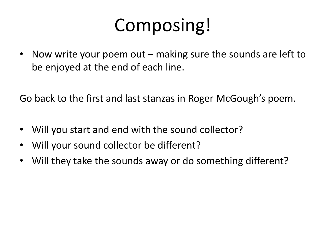# Composing!

• Now write your poem out – making sure the sounds are left to be enjoyed at the end of each line.

Go back to the first and last stanzas in Roger McGough's poem.

- Will you start and end with the sound collector?
- Will your sound collector be different?
- Will they take the sounds away or do something different?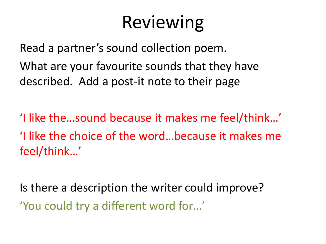# Reviewing

Read a partner's sound collection poem. What are your favourite sounds that they have described. Add a post-it note to their page

'I like the…sound because it makes me feel/think…' 'I like the choice of the word…because it makes me feel/think…'

Is there a description the writer could improve? 'You could try a different word for…'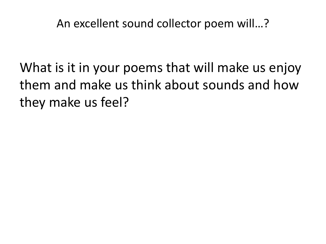An excellent sound collector poem will…?

What is it in your poems that will make us enjoy them and make us think about sounds and how they make us feel?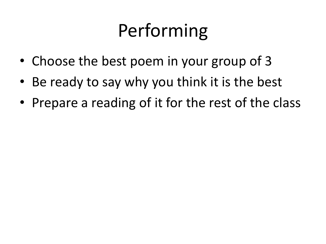# Performing

- Choose the best poem in your group of 3
- Be ready to say why you think it is the best
- Prepare a reading of it for the rest of the class